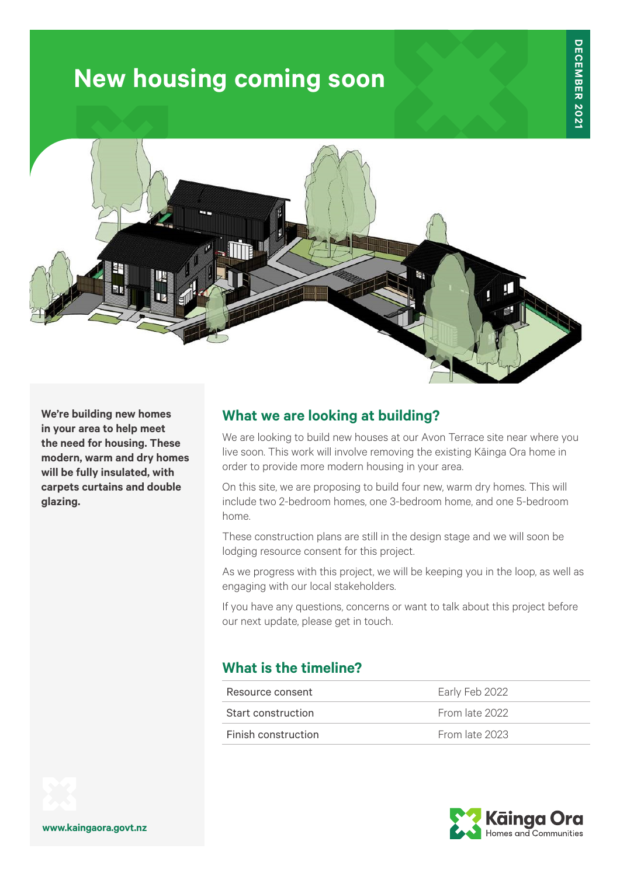# **New housing coming soon**



**We're building new homes in your area to help meet the need for housing. These modern, warm and dry homes will be fully insulated, with carpets curtains and double glazing.**

### **What we are looking at building?**

We are looking to build new houses at our Avon Terrace site near where you live soon. This work will involve removing the existing Kāinga Ora home in order to provide more modern housing in your area.

On this site, we are proposing to build four new, warm dry homes. This will include two 2-bedroom homes, one 3-bedroom home, and one 5-bedroom home.

These construction plans are still in the design stage and we will soon be lodging resource consent for this project.

As we progress with this project, we will be keeping you in the loop, as well as engaging with our local stakeholders.

If you have any questions, concerns or want to talk about this project before our next update, please get in touch.

#### **What is the timeline?**

| Resource consent    | Early Feb 2022 |
|---------------------|----------------|
| Start construction  | From late 2022 |
| Finish construction | From late 2023 |